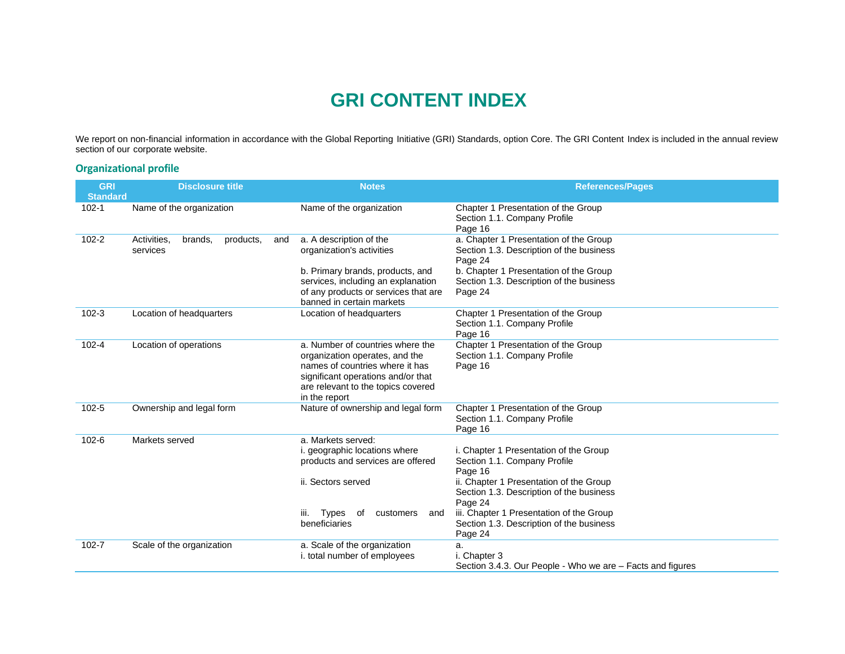# **GRI CONTENT INDEX**

We report on non-financial information in accordance with the Global Reporting Initiative (GRI) Standards, option Core. The GRI Content Index is included in the annual review section of our corporate website.

#### **Organizational profile**

| <b>GRI</b><br><b>Standard</b> | <b>Disclosure title</b>                         | <b>Notes</b>                                                                                                                                                                                       | <b>References/Pages</b>                                                                                                                                                                                                                                                                |  |
|-------------------------------|-------------------------------------------------|----------------------------------------------------------------------------------------------------------------------------------------------------------------------------------------------------|----------------------------------------------------------------------------------------------------------------------------------------------------------------------------------------------------------------------------------------------------------------------------------------|--|
| $102 - 1$                     | Name of the organization                        | Name of the organization                                                                                                                                                                           | Chapter 1 Presentation of the Group<br>Section 1.1. Company Profile<br>Page 16                                                                                                                                                                                                         |  |
| $102 - 2$                     | Activities.<br>brands.<br>products.<br>services | a. A description of the<br>and<br>organization's activities<br>b. Primary brands, products, and<br>services, including an explanation<br>of any products or services that are                      | a. Chapter 1 Presentation of the Group<br>Section 1.3. Description of the business<br>Page 24<br>b. Chapter 1 Presentation of the Group<br>Section 1.3. Description of the business<br>Page 24                                                                                         |  |
| $102 - 3$                     | Location of headquarters                        | banned in certain markets<br>Location of headquarters                                                                                                                                              | Chapter 1 Presentation of the Group<br>Section 1.1. Company Profile<br>Page 16                                                                                                                                                                                                         |  |
| $102 - 4$                     | Location of operations                          | a. Number of countries where the<br>organization operates, and the<br>names of countries where it has<br>significant operations and/or that<br>are relevant to the topics covered<br>in the report | Chapter 1 Presentation of the Group<br>Section 1.1. Company Profile<br>Page 16                                                                                                                                                                                                         |  |
| $102 - 5$                     | Ownership and legal form                        | Nature of ownership and legal form                                                                                                                                                                 | Chapter 1 Presentation of the Group<br>Section 1.1. Company Profile<br>Page 16                                                                                                                                                                                                         |  |
| $102 - 6$                     | Markets served                                  | a. Markets served:<br>i. geographic locations where<br>products and services are offered<br>ii. Sectors served<br><b>Types</b><br>iii.<br>of<br>customers<br>and<br>beneficiaries                  | i. Chapter 1 Presentation of the Group<br>Section 1.1. Company Profile<br>Page 16<br>ii. Chapter 1 Presentation of the Group<br>Section 1.3. Description of the business<br>Page 24<br>iii. Chapter 1 Presentation of the Group<br>Section 1.3. Description of the business<br>Page 24 |  |
| $102 - 7$                     | Scale of the organization                       | a. Scale of the organization<br>i. total number of employees                                                                                                                                       | a.<br>i. Chapter 3<br>Section 3.4.3. Our People - Who we are – Facts and figures                                                                                                                                                                                                       |  |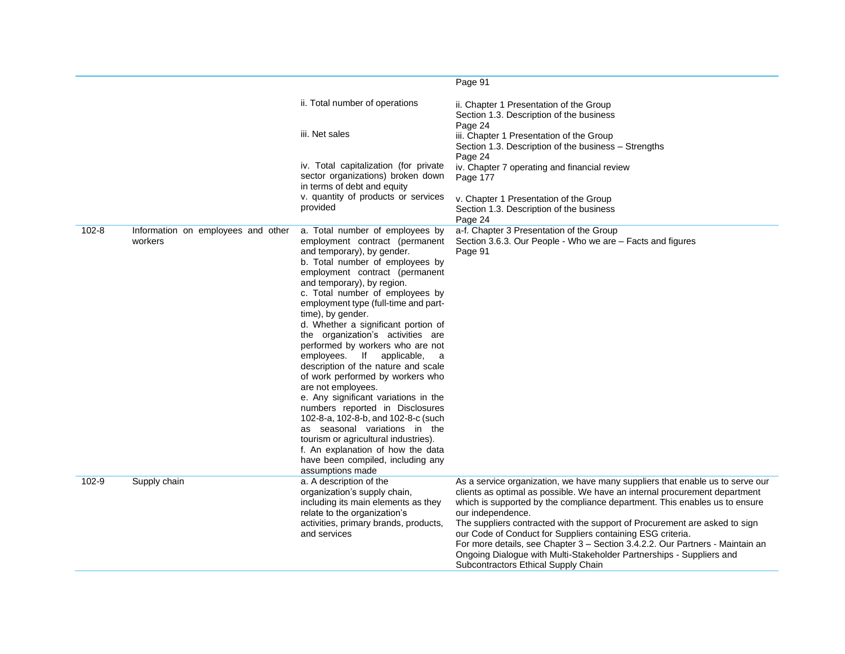|           |                                               |                                                                                                                                                                                                                                                                                                                                                                                                                                                                                                                                                                                                                                                                                                                                                                                                                                                      | Page 91                                                                                                                                                                                                                                                                                                                                                                                                                                                                                                                                                                                                    |
|-----------|-----------------------------------------------|------------------------------------------------------------------------------------------------------------------------------------------------------------------------------------------------------------------------------------------------------------------------------------------------------------------------------------------------------------------------------------------------------------------------------------------------------------------------------------------------------------------------------------------------------------------------------------------------------------------------------------------------------------------------------------------------------------------------------------------------------------------------------------------------------------------------------------------------------|------------------------------------------------------------------------------------------------------------------------------------------------------------------------------------------------------------------------------------------------------------------------------------------------------------------------------------------------------------------------------------------------------------------------------------------------------------------------------------------------------------------------------------------------------------------------------------------------------------|
|           |                                               | ii. Total number of operations                                                                                                                                                                                                                                                                                                                                                                                                                                                                                                                                                                                                                                                                                                                                                                                                                       | ii. Chapter 1 Presentation of the Group<br>Section 1.3. Description of the business                                                                                                                                                                                                                                                                                                                                                                                                                                                                                                                        |
|           |                                               | iii. Net sales                                                                                                                                                                                                                                                                                                                                                                                                                                                                                                                                                                                                                                                                                                                                                                                                                                       | Page 24<br>iii. Chapter 1 Presentation of the Group<br>Section 1.3. Description of the business - Strengths<br>Page 24                                                                                                                                                                                                                                                                                                                                                                                                                                                                                     |
|           |                                               | iv. Total capitalization (for private<br>sector organizations) broken down<br>in terms of debt and equity                                                                                                                                                                                                                                                                                                                                                                                                                                                                                                                                                                                                                                                                                                                                            | iv. Chapter 7 operating and financial review<br>Page 177                                                                                                                                                                                                                                                                                                                                                                                                                                                                                                                                                   |
|           |                                               | v. quantity of products or services<br>provided                                                                                                                                                                                                                                                                                                                                                                                                                                                                                                                                                                                                                                                                                                                                                                                                      | v. Chapter 1 Presentation of the Group<br>Section 1.3. Description of the business<br>Page 24                                                                                                                                                                                                                                                                                                                                                                                                                                                                                                              |
| $102 - 8$ | Information on employees and other<br>workers | a. Total number of employees by<br>employment contract (permanent<br>and temporary), by gender.<br>b. Total number of employees by<br>employment contract (permanent<br>and temporary), by region.<br>c. Total number of employees by<br>employment type (full-time and part-<br>time), by gender.<br>d. Whether a significant portion of<br>the organization's activities are<br>performed by workers who are not<br>employees.<br>lf<br>applicable,<br>a<br>description of the nature and scale<br>of work performed by workers who<br>are not employees.<br>e. Any significant variations in the<br>numbers reported in Disclosures<br>102-8-a, 102-8-b, and 102-8-c (such<br>as seasonal variations in the<br>tourism or agricultural industries).<br>f. An explanation of how the data<br>have been compiled, including any<br>assumptions made | a-f. Chapter 3 Presentation of the Group<br>Section 3.6.3. Our People - Who we are - Facts and figures<br>Page 91                                                                                                                                                                                                                                                                                                                                                                                                                                                                                          |
| 102-9     | Supply chain                                  | a. A description of the<br>organization's supply chain,<br>including its main elements as they<br>relate to the organization's<br>activities, primary brands, products,<br>and services                                                                                                                                                                                                                                                                                                                                                                                                                                                                                                                                                                                                                                                              | As a service organization, we have many suppliers that enable us to serve our<br>clients as optimal as possible. We have an internal procurement department<br>which is supported by the compliance department. This enables us to ensure<br>our independence.<br>The suppliers contracted with the support of Procurement are asked to sign<br>our Code of Conduct for Suppliers containing ESG criteria.<br>For more details, see Chapter 3 - Section 3.4.2.2. Our Partners - Maintain an<br>Ongoing Dialogue with Multi-Stakeholder Partnerships - Suppliers and<br>Subcontractors Ethical Supply Chain |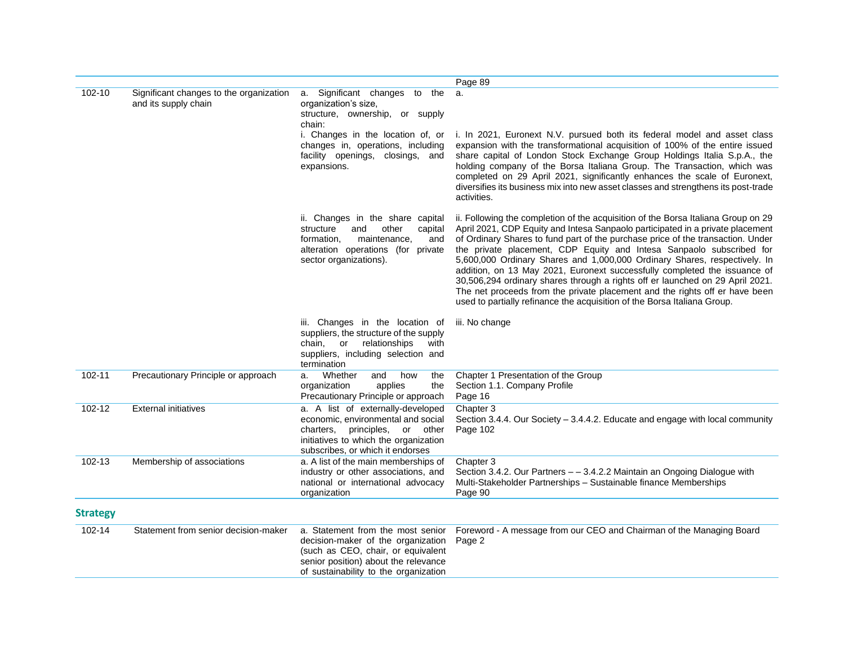|                 |                                                                 |                                                                                                                                                                                                | Page 89                                                                                                                                                                                                                                                                                                                                                                                                                                                                                                                                                                                                                                                                                                                              |
|-----------------|-----------------------------------------------------------------|------------------------------------------------------------------------------------------------------------------------------------------------------------------------------------------------|--------------------------------------------------------------------------------------------------------------------------------------------------------------------------------------------------------------------------------------------------------------------------------------------------------------------------------------------------------------------------------------------------------------------------------------------------------------------------------------------------------------------------------------------------------------------------------------------------------------------------------------------------------------------------------------------------------------------------------------|
| 102-10          | Significant changes to the organization<br>and its supply chain | a. Significant changes to the<br>organization's size,<br>structure, ownership, or supply<br>chain:                                                                                             | a.                                                                                                                                                                                                                                                                                                                                                                                                                                                                                                                                                                                                                                                                                                                                   |
|                 |                                                                 | i. Changes in the location of, or<br>changes in, operations, including<br>facility openings, closings, and<br>expansions.                                                                      | i. In 2021, Euronext N.V. pursued both its federal model and asset class<br>expansion with the transformational acquisition of 100% of the entire issued<br>share capital of London Stock Exchange Group Holdings Italia S.p.A., the<br>holding company of the Borsa Italiana Group. The Transaction, which was<br>completed on 29 April 2021, significantly enhances the scale of Euronext,<br>diversifies its business mix into new asset classes and strengthens its post-trade<br>activities.                                                                                                                                                                                                                                    |
|                 |                                                                 | ii. Changes in the share capital<br>other<br>structure<br>and<br>capital<br>formation,<br>maintenance,<br>and<br>alteration operations (for private<br>sector organizations).                  | ii. Following the completion of the acquisition of the Borsa Italiana Group on 29<br>April 2021, CDP Equity and Intesa Sanpaolo participated in a private placement<br>of Ordinary Shares to fund part of the purchase price of the transaction. Under<br>the private placement, CDP Equity and Intesa Sanpaolo subscribed for<br>5,600,000 Ordinary Shares and 1,000,000 Ordinary Shares, respectively. In<br>addition, on 13 May 2021, Euronext successfully completed the issuance of<br>30,506,294 ordinary shares through a rights off er launched on 29 April 2021.<br>The net proceeds from the private placement and the rights off er have been<br>used to partially refinance the acquisition of the Borsa Italiana Group. |
|                 |                                                                 | iii. Changes in the location of<br>suppliers, the structure of the supply<br>or relationships<br>chain,<br>with<br>suppliers, including selection and<br>termination                           | iii. No change                                                                                                                                                                                                                                                                                                                                                                                                                                                                                                                                                                                                                                                                                                                       |
| 102-11          | Precautionary Principle or approach                             | Whether<br>and<br>how<br>the<br>a.<br>organization<br>applies<br>the<br>Precautionary Principle or approach                                                                                    | Chapter 1 Presentation of the Group<br>Section 1.1. Company Profile<br>Page 16                                                                                                                                                                                                                                                                                                                                                                                                                                                                                                                                                                                                                                                       |
| 102-12          | <b>External initiatives</b>                                     | a. A list of externally-developed<br>economic, environmental and social<br>charters, principles, or other<br>initiatives to which the organization<br>subscribes, or which it endorses         | Chapter 3<br>Section 3.4.4. Our Society - 3.4.4.2. Educate and engage with local community<br>Page 102                                                                                                                                                                                                                                                                                                                                                                                                                                                                                                                                                                                                                               |
| 102-13          | Membership of associations                                      | a. A list of the main memberships of<br>industry or other associations, and<br>national or international advocacy<br>organization                                                              | Chapter 3<br>Section 3.4.2. Our Partners - - 3.4.2.2 Maintain an Ongoing Dialogue with<br>Multi-Stakeholder Partnerships - Sustainable finance Memberships<br>Page 90                                                                                                                                                                                                                                                                                                                                                                                                                                                                                                                                                                |
| <b>Strategy</b> |                                                                 |                                                                                                                                                                                                |                                                                                                                                                                                                                                                                                                                                                                                                                                                                                                                                                                                                                                                                                                                                      |
| $102 - 14$      | Statement from senior decision-maker                            | a. Statement from the most senior<br>decision-maker of the organization<br>(such as CEO, chair, or equivalent<br>senior position) about the relevance<br>of sustainability to the organization | Foreword - A message from our CEO and Chairman of the Managing Board<br>Page 2                                                                                                                                                                                                                                                                                                                                                                                                                                                                                                                                                                                                                                                       |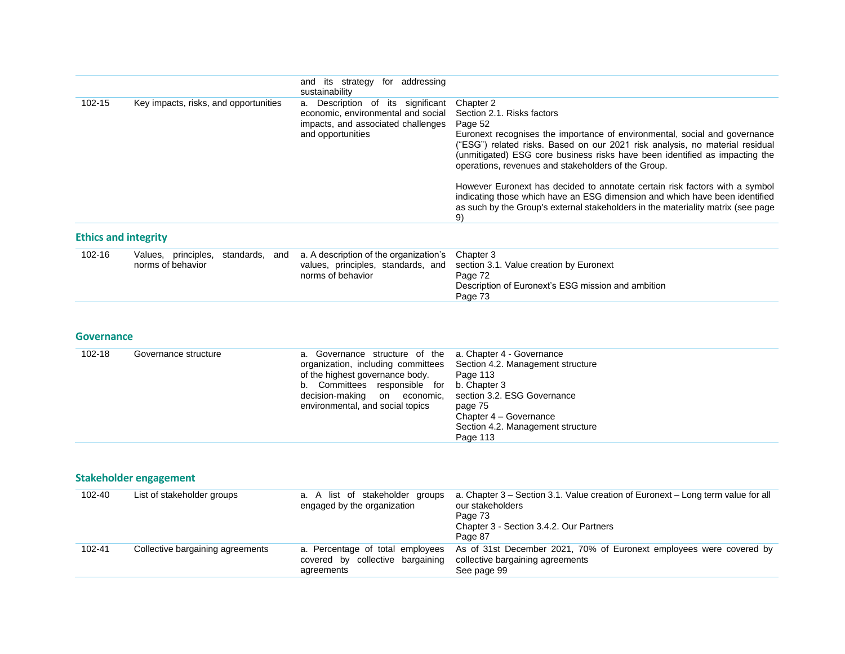|                             |                                       | addressing<br>and its strategy<br>for<br>sustainability                                                                               |                                                                                                                                                                                                                                                                                                                                                       |
|-----------------------------|---------------------------------------|---------------------------------------------------------------------------------------------------------------------------------------|-------------------------------------------------------------------------------------------------------------------------------------------------------------------------------------------------------------------------------------------------------------------------------------------------------------------------------------------------------|
| 102-15                      | Key impacts, risks, and opportunities | Description of its significant<br>a.<br>economic, environmental and social<br>impacts, and associated challenges<br>and opportunities | Chapter 2<br>Section 2.1. Risks factors<br>Page 52<br>Euronext recognises the importance of environmental, social and governance<br>"ESG") related risks. Based on our 2021 risk analysis, no material residual<br>(unmitigated) ESG core business risks have been identified as impacting the<br>operations, revenues and stakeholders of the Group. |
|                             |                                       |                                                                                                                                       | However Euronext has decided to annotate certain risk factors with a symbol<br>indicating those which have an ESG dimension and which have been identified<br>as such by the Group's external stakeholders in the materiality matrix (see page<br>9)                                                                                                  |
| <b>Ethics and integrity</b> |                                       |                                                                                                                                       |                                                                                                                                                                                                                                                                                                                                                       |

| 102-16 | Values, principles, standards, |  | and a. A description of the organization's Chapter 3 |                                                                            |
|--------|--------------------------------|--|------------------------------------------------------|----------------------------------------------------------------------------|
|        | norms of behavior              |  |                                                      | values, principles, standards, and section 3.1. Value creation by Euronext |
|        |                                |  | norms of behavior                                    | Page 72                                                                    |
|        |                                |  |                                                      | Description of Euronext's ESG mission and ambition                         |
|        |                                |  |                                                      | Page 73                                                                    |
|        |                                |  |                                                      |                                                                            |

#### **Governance**

| 102-18 | Governance structure | a. Governance structure of the a. Chapter 4 - Governance<br>organization, including committees<br>of the highest governance body.<br>Committees responsible for b. Chapter 3<br>b.<br>decision-making on economic, section 3.2. ESG Governance<br>environmental, and social topics | Section 4.2. Management structure<br>Page 113<br>page 75<br>Chapter 4 - Governance<br>Section 4.2. Management structure<br>Page 113 |
|--------|----------------------|------------------------------------------------------------------------------------------------------------------------------------------------------------------------------------------------------------------------------------------------------------------------------------|-------------------------------------------------------------------------------------------------------------------------------------|
|--------|----------------------|------------------------------------------------------------------------------------------------------------------------------------------------------------------------------------------------------------------------------------------------------------------------------------|-------------------------------------------------------------------------------------------------------------------------------------|

## **Stakeholder engagement**

| 102-40 | List of stakeholder groups       | a. A list of stakeholder groups<br>engaged by the organization                     | a. Chapter 3 – Section 3.1. Value creation of Euronext – Long term value for all<br>our stakeholders<br>Page 73<br>Chapter 3 - Section 3.4.2. Our Partners<br>Page 87 |
|--------|----------------------------------|------------------------------------------------------------------------------------|-----------------------------------------------------------------------------------------------------------------------------------------------------------------------|
| 102-41 | Collective bargaining agreements | a. Percentage of total employees<br>covered by collective bargaining<br>agreements | As of 31st December 2021, 70% of Euronext employees were covered by<br>collective bargaining agreements<br>See page 99                                                |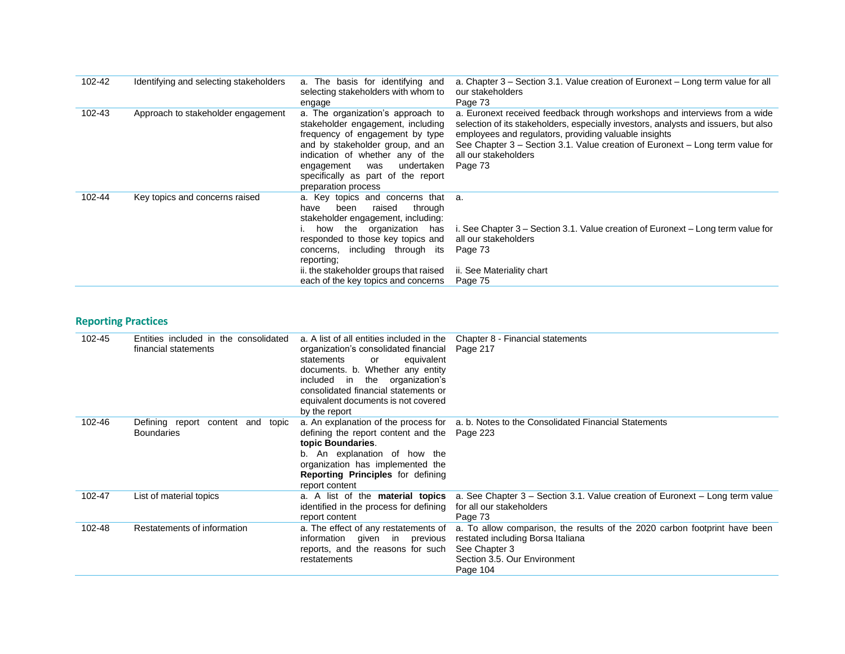| 102-42 | Identifying and selecting stakeholders | a. The basis for identifying and<br>selecting stakeholders with whom to<br>engage                                                                                                                                                                                                                                | a. Chapter 3 – Section 3.1. Value creation of Euronext – Long term value for all<br>our stakeholders<br>Page 73                                                                                                                                                                                                                                |
|--------|----------------------------------------|------------------------------------------------------------------------------------------------------------------------------------------------------------------------------------------------------------------------------------------------------------------------------------------------------------------|------------------------------------------------------------------------------------------------------------------------------------------------------------------------------------------------------------------------------------------------------------------------------------------------------------------------------------------------|
| 102-43 | Approach to stakeholder engagement     | a. The organization's approach to<br>stakeholder engagement, including<br>frequency of engagement by type<br>and by stakeholder group, and an<br>indication of whether any of the<br>undertaken<br>engagement<br>was<br>specifically as part of the report<br>preparation process                                | a. Euronext received feedback through workshops and interviews from a wide<br>selection of its stakeholders, especially investors, analysts and issuers, but also<br>employees and regulators, providing valuable insights<br>See Chapter 3 – Section 3.1. Value creation of Euronext – Long term value for<br>all our stakeholders<br>Page 73 |
| 102-44 | Key topics and concerns raised         | a. Key topics and concerns that a.<br>through<br>been<br>raised<br>have<br>stakeholder engagement, including:<br>how the organization has<br>responded to those key topics and<br>concerns, including through its<br>reporting:<br>ii. the stakeholder groups that raised<br>each of the key topics and concerns | i. See Chapter 3 – Section 3.1. Value creation of Euronext – Long term value for<br>all our stakeholders<br>Page 73<br>ii. See Materiality chart<br>Page 75                                                                                                                                                                                    |

# **Reporting Practices**

| 102-45 | Entities included in the consolidated<br>financial statements | a. A list of all entities included in the<br>organization's consolidated financial<br>statements<br>equivalent<br>or<br>documents. b. Whether any entity<br>included in the organization's<br>consolidated financial statements or<br>equivalent documents is not covered<br>by the report | Chapter 8 - Financial statements<br>Page 217                                                                                                                                 |
|--------|---------------------------------------------------------------|--------------------------------------------------------------------------------------------------------------------------------------------------------------------------------------------------------------------------------------------------------------------------------------------|------------------------------------------------------------------------------------------------------------------------------------------------------------------------------|
| 102-46 | Defining report content and<br>topic<br><b>Boundaries</b>     | defining the report content and the Page 223<br>topic Boundaries.<br>b. An explanation of how the<br>organization has implemented the<br><b>Reporting Principles</b> for defining<br>report content                                                                                        | a. An explanation of the process for a. b. Notes to the Consolidated Financial Statements                                                                                    |
| 102-47 | List of material topics                                       | a. A list of the material topics<br>identified in the process for defining<br>report content                                                                                                                                                                                               | a. See Chapter $3$ – Section 3.1. Value creation of Euronext – Long term value<br>for all our stakeholders<br>Page 73                                                        |
| 102-48 | Restatements of information                                   | a. The effect of any restatements of<br>information given in previous<br>reports, and the reasons for such<br>restatements                                                                                                                                                                 | a. To allow comparison, the results of the 2020 carbon footprint have been<br>restated including Borsa Italiana<br>See Chapter 3<br>Section 3.5, Our Environment<br>Page 104 |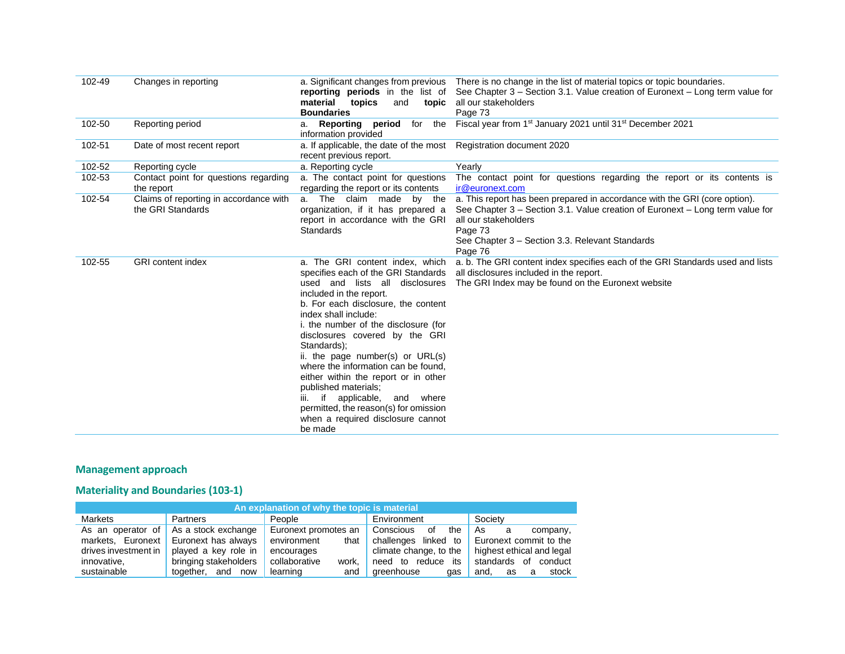| 102-49 | Changes in reporting                                        | reporting periods in the list of<br>material<br>topics<br>and<br>topic<br><b>Boundaries</b>                                                                                                                                                                                                                                                                                                                                                                                                                                                                    | a. Significant changes from previous There is no change in the list of material topics or topic boundaries.<br>See Chapter 3 – Section 3.1. Value creation of Euronext – Long term value for<br>all our stakeholders<br>Page 73                              |
|--------|-------------------------------------------------------------|----------------------------------------------------------------------------------------------------------------------------------------------------------------------------------------------------------------------------------------------------------------------------------------------------------------------------------------------------------------------------------------------------------------------------------------------------------------------------------------------------------------------------------------------------------------|--------------------------------------------------------------------------------------------------------------------------------------------------------------------------------------------------------------------------------------------------------------|
| 102-50 | Reporting period                                            | a. Reporting period<br>for the<br>information provided                                                                                                                                                                                                                                                                                                                                                                                                                                                                                                         | Fiscal year from 1 <sup>st</sup> January 2021 until 31 <sup>st</sup> December 2021                                                                                                                                                                           |
| 102-51 | Date of most recent report                                  | a. If applicable, the date of the most<br>recent previous report.                                                                                                                                                                                                                                                                                                                                                                                                                                                                                              | Registration document 2020                                                                                                                                                                                                                                   |
| 102-52 | Reporting cycle                                             | a. Reporting cycle                                                                                                                                                                                                                                                                                                                                                                                                                                                                                                                                             | Yearly                                                                                                                                                                                                                                                       |
| 102-53 | Contact point for questions regarding<br>the report         | a. The contact point for questions<br>regarding the report or its contents                                                                                                                                                                                                                                                                                                                                                                                                                                                                                     | The contact point for questions regarding the report or its contents is<br>ir@euronext.com                                                                                                                                                                   |
| 102-54 | Claims of reporting in accordance with<br>the GRI Standards | a. The claim made<br>by the<br>organization, if it has prepared a<br>report in accordance with the GRI<br>Standards                                                                                                                                                                                                                                                                                                                                                                                                                                            | a. This report has been prepared in accordance with the GRI (core option).<br>See Chapter 3 – Section 3.1. Value creation of Euronext – Long term value for<br>all our stakeholders<br>Page 73<br>See Chapter 3 - Section 3.3. Relevant Standards<br>Page 76 |
| 102-55 | <b>GRI</b> content index                                    | a. The GRI content index, which<br>specifies each of the GRI Standards<br>used and lists all disclosures<br>included in the report.<br>b. For each disclosure, the content<br>index shall include:<br>i. the number of the disclosure (for<br>disclosures covered by the GRI<br>Standards);<br>ii. the page number(s) or URL(s)<br>where the information can be found.<br>either within the report or in other<br>published materials:<br>if applicable,<br>and where<br>permitted, the reason(s) for omission<br>when a required disclosure cannot<br>be made | a. b. The GRI content index specifies each of the GRI Standards used and lists<br>all disclosures included in the report.<br>The GRI Index may be found on the Euronext website                                                                              |

# **Management approach**

## **Materiality and Boundaries (103-1)**

| An explanation of why the topic is material |                         |                        |                          |                            |  |  |  |
|---------------------------------------------|-------------------------|------------------------|--------------------------|----------------------------|--|--|--|
| <b>Markets</b>                              | <b>Partners</b>         | People                 | Environment              | Society                    |  |  |  |
| As an operator of                           | As a stock exchange     | Euronext promotes an   | Conscious<br>the<br>οf   | As<br>company,<br>a        |  |  |  |
| Euronext<br>markets.                        | Euronext has always     | environment<br>that    | challenges linked<br>to  | Euronext commit to the     |  |  |  |
| drives investment in                        | played a key role in    | encourages             | climate change, to the   | highest ethical and legal  |  |  |  |
| innovative,                                 | bringing stakeholders   | collaborative<br>work. | to reduce<br>need<br>its | standards<br>of<br>conduct |  |  |  |
| sustainable                                 | and<br>together.<br>now | learning<br>and        | areenhouse<br>gas        | stock<br>and.<br>as<br>a   |  |  |  |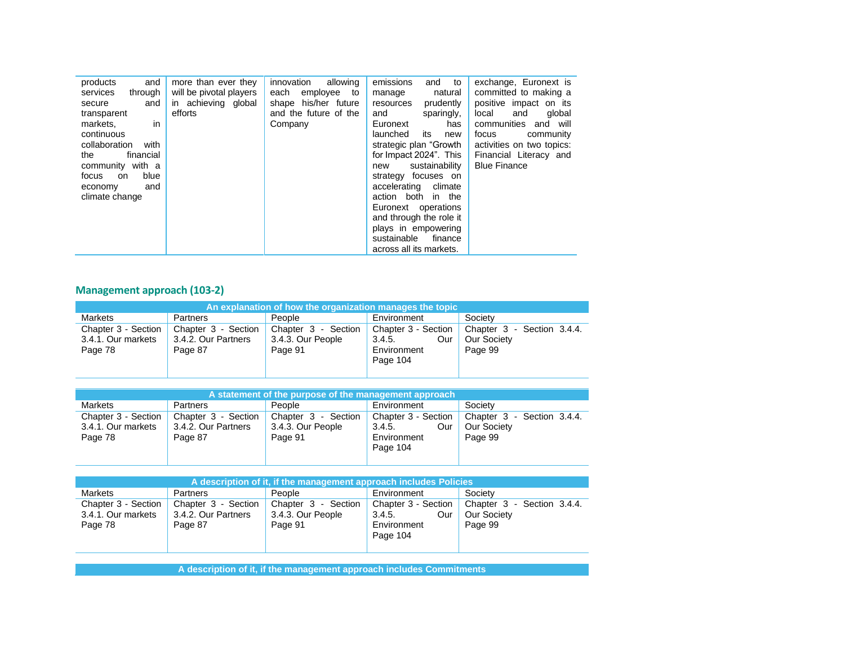| and<br>products            | more than ever they     | innovation<br>allowing | emissions<br>and<br>to  | exchange, Euronext is     |
|----------------------------|-------------------------|------------------------|-------------------------|---------------------------|
| services<br>through        | will be pivotal players | each<br>employee<br>to | natural<br>manage       | committed to making a     |
| and<br>secure              | in achieving global     | shape his/her future   | prudently<br>resources  | positive impact on its    |
| transparent                | efforts                 | and the future of the  | sparingly,<br>and       | global<br>local<br>and    |
| in<br>markets,             |                         | Company                | Euronext<br>has         | communities<br>and will   |
| continuous                 |                         |                        | launched<br>its<br>new  | focus<br>community        |
| collaboration<br>with      |                         |                        | strategic plan "Growth  | activities on two topics: |
| financial<br>the           |                         |                        | for Impact 2024". This  | Financial Literacy and    |
| community with a           |                         |                        | sustainability<br>new   | <b>Blue Finance</b>       |
| blue<br>focus<br><b>on</b> |                         |                        | strategy focuses on     |                           |
| and<br>economy             |                         |                        | climate<br>accelerating |                           |
| climate change             |                         |                        | action both in the      |                           |
|                            |                         |                        | Euronext operations     |                           |
|                            |                         |                        | and through the role it |                           |
|                            |                         |                        | plays in empowering     |                           |
|                            |                         |                        | sustainable<br>finance  |                           |
|                            |                         |                        | across all its markets. |                           |

# **Management approach (103-2)**

| An explanation of how the organization manages the topic |                                                       |                                                        |                                                                 |                                                             |
|----------------------------------------------------------|-------------------------------------------------------|--------------------------------------------------------|-----------------------------------------------------------------|-------------------------------------------------------------|
| Markets                                                  | Partners                                              | People                                                 | Environment                                                     | Society                                                     |
| Chapter 3 - Section<br>3.4.1. Our markets<br>Page 78     | Chapter 3 - Section<br>3.4.2. Our Partners<br>Page 87 | Chapter 3<br>- Section<br>3.4.3. Our People<br>Page 91 | Chapter 3 - Section<br>3.4.5.<br>Our<br>Environment<br>Page 104 | Chapter 3 - Section 3.4.4.<br><b>Our Society</b><br>Page 99 |

| A statement of the purpose of the management approach |                                                       |                                                     |                                                                 |                                                             |
|-------------------------------------------------------|-------------------------------------------------------|-----------------------------------------------------|-----------------------------------------------------------------|-------------------------------------------------------------|
| <b>Markets</b>                                        | Partners                                              | People                                              | Environment                                                     | Society                                                     |
| Chapter 3 - Section<br>3.4.1. Our markets<br>Page 78  | Chapter 3 - Section<br>3.4.2. Our Partners<br>Page 87 | Chapter 3 - Section<br>3.4.3. Our People<br>Page 91 | Chapter 3 - Section<br>3.4.5.<br>Our<br>Environment<br>Page 104 | Chapter 3 - Section 3.4.4.<br><b>Our Society</b><br>Page 99 |

| A description of it, if the management approach includes Policies |                                                       |                                                     |                                                                 |                                                             |
|-------------------------------------------------------------------|-------------------------------------------------------|-----------------------------------------------------|-----------------------------------------------------------------|-------------------------------------------------------------|
| <b>Markets</b>                                                    | <b>Partners</b>                                       | People                                              | Environment                                                     | Society                                                     |
| Chapter 3 - Section<br>3.4.1. Our markets<br>Page 78              | Chapter 3 - Section<br>3.4.2. Our Partners<br>Page 87 | Chapter 3 - Section<br>3.4.3. Our People<br>Page 91 | Chapter 3 - Section<br>3.4.5.<br>Our<br>Environment<br>Page 104 | Chapter 3 - Section 3.4.4.<br><b>Our Society</b><br>Page 99 |

**A description of it, if the management approach includes Commitments**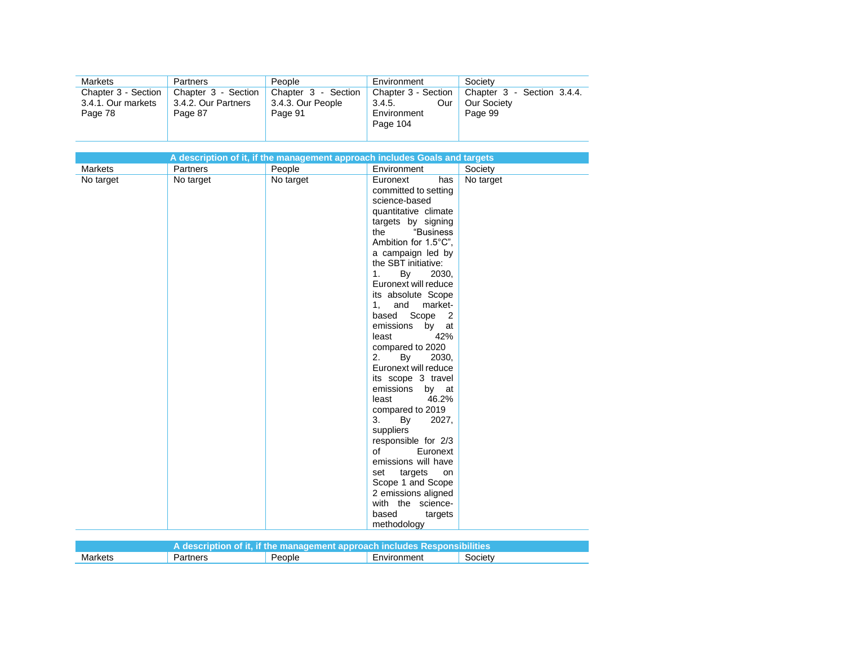| <b>Markets</b>                            | <b>Partners</b>                            | People                                   | Environment                          | Society                                   |
|-------------------------------------------|--------------------------------------------|------------------------------------------|--------------------------------------|-------------------------------------------|
| Chapter 3 - Section<br>3.4.1. Our markets | Chapter 3 - Section<br>3.4.2. Our Partners | Chapter 3 - Section<br>3.4.3. Our People | Chapter 3 - Section<br>Our<br>3.4.5. | Chapter 3 - Section 3.4.4.<br>Our Society |
| Page 78                                   | Page 87                                    | Page 91                                  | Environment<br>Page 104              | Page 99                                   |

|                |           | A description of it, if the management approach includes Goals and targets |                                           |           |
|----------------|-----------|----------------------------------------------------------------------------|-------------------------------------------|-----------|
| <b>Markets</b> | Partners  | People                                                                     | Environment                               | Society   |
| No target      | No target | No target                                                                  | Euronext<br>has                           | No target |
|                |           |                                                                            | committed to setting                      |           |
|                |           |                                                                            | science-based                             |           |
|                |           |                                                                            | quantitative climate                      |           |
|                |           |                                                                            | targets by signing                        |           |
|                |           |                                                                            | "Business<br>the                          |           |
|                |           |                                                                            | Ambition for 1.5°C",                      |           |
|                |           |                                                                            | a campaign led by                         |           |
|                |           |                                                                            | the SBT initiative:                       |           |
|                |           |                                                                            | 1.<br>By<br>2030,                         |           |
|                |           |                                                                            | Euronext will reduce                      |           |
|                |           |                                                                            | its absolute Scope                        |           |
|                |           |                                                                            | 1, and<br>market-                         |           |
|                |           |                                                                            | based Scope<br>$\overline{\phantom{0}}^2$ |           |
|                |           |                                                                            | emissions<br>by at                        |           |
|                |           |                                                                            | 42%<br>least                              |           |
|                |           |                                                                            | compared to 2020                          |           |
|                |           |                                                                            | By<br>2.<br>2030,                         |           |
|                |           |                                                                            | Euronext will reduce                      |           |
|                |           |                                                                            | its scope 3 travel                        |           |
|                |           |                                                                            | emissions<br>by at                        |           |
|                |           |                                                                            | 46.2%<br>least                            |           |
|                |           |                                                                            | compared to 2019                          |           |
|                |           |                                                                            | 3.<br>2027,<br>By                         |           |
|                |           |                                                                            | suppliers                                 |           |
|                |           |                                                                            | responsible for 2/3<br>of                 |           |
|                |           |                                                                            | Euronext                                  |           |
|                |           |                                                                            | emissions will have                       |           |
|                |           |                                                                            | targets<br>set<br>on                      |           |
|                |           |                                                                            | Scope 1 and Scope<br>2 emissions aligned  |           |
|                |           |                                                                            | with the science-                         |           |
|                |           |                                                                            | based                                     |           |
|                |           |                                                                            | targets                                   |           |
|                |           |                                                                            | methodology                               |           |

| A description of it, if the management approach includes Responsibilities |          |        |             |         |
|---------------------------------------------------------------------------|----------|--------|-------------|---------|
| Markets                                                                   | Partners | People | Environment | Society |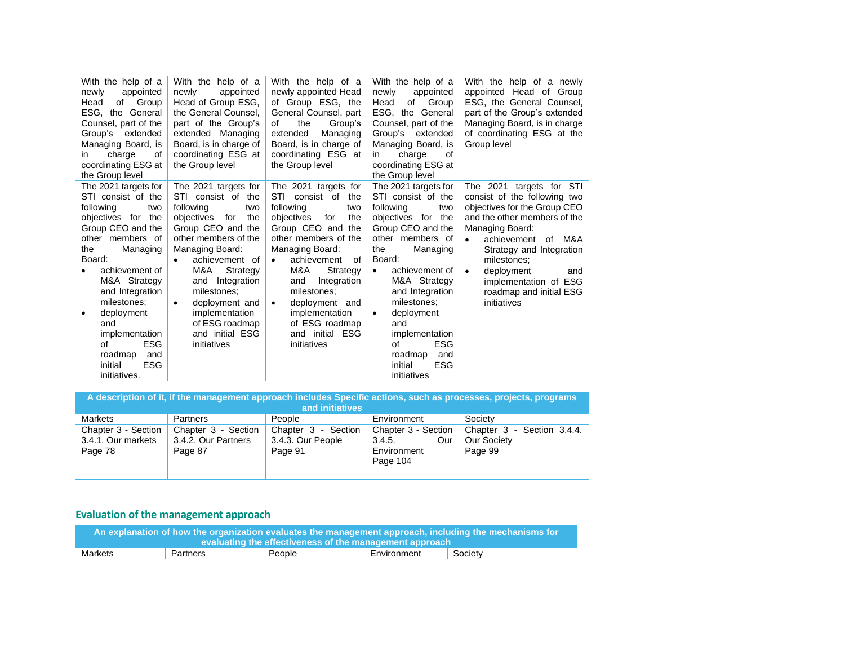| With the help of a<br>appointed<br>newly<br>of<br>Group<br>Head<br>ESG, the General<br>Counsel, part of the<br>Group's extended<br>Managing Board, is<br>charge<br>οf<br>in.<br>coordinating ESG at<br>the Group level                                                                                                                               | With the help of a<br>appointed<br>newly<br>Head of Group ESG,<br>the General Counsel,<br>part of the Group's<br>extended Managing<br>Board, is in charge of<br>coordinating ESG at<br>the Group level                                                                                                                                 | With the help of a<br>newly appointed Head<br>of Group ESG, the<br>General Counsel, part<br>the<br>Group's<br>of<br>extended<br>Managing<br>Board, is in charge of<br>coordinating ESG at<br>the Group level                                                                                                                                    | With the help of a<br>newly<br>appointed<br>Group<br>of<br>Head<br>ESG, the General<br>Counsel, part of the<br>Group's<br>extended<br>Managing Board, is<br>charge<br>in.<br>οf<br>coordinating ESG at<br>the Group level                                                                                                                                                     | With the help of a newly<br>appointed Head of Group<br>ESG, the General Counsel,<br>part of the Group's extended<br>Managing Board, is in charge<br>of coordinating ESG at the<br>Group level                                                                                                                        |
|------------------------------------------------------------------------------------------------------------------------------------------------------------------------------------------------------------------------------------------------------------------------------------------------------------------------------------------------------|----------------------------------------------------------------------------------------------------------------------------------------------------------------------------------------------------------------------------------------------------------------------------------------------------------------------------------------|-------------------------------------------------------------------------------------------------------------------------------------------------------------------------------------------------------------------------------------------------------------------------------------------------------------------------------------------------|-------------------------------------------------------------------------------------------------------------------------------------------------------------------------------------------------------------------------------------------------------------------------------------------------------------------------------------------------------------------------------|----------------------------------------------------------------------------------------------------------------------------------------------------------------------------------------------------------------------------------------------------------------------------------------------------------------------|
| The 2021 targets for<br>STI consist of the<br>following<br>two<br>objectives for the<br>Group CEO and the<br>other members of<br>Managing<br>the<br>Board:<br>achievement of<br>M&A Strategy<br>and Integration<br>milestones:<br>deployment<br>and<br>implementation<br><b>ESG</b><br>of<br>roadmap<br>and<br><b>ESG</b><br>initial<br>initiatives. | The 2021 targets for<br>STI consist of the<br>following<br>two<br>objectives for<br>the<br>Group CEO and the<br>other members of the<br>Managing Board:<br>achievement of<br>M&A<br>Strategy<br>Integration<br>and<br>milestones;<br>deployment and<br>$\bullet$<br>implementation<br>of ESG roadmap<br>and initial ESG<br>initiatives | The 2021 targets for<br>STI<br>consist of the<br>following<br>two<br>the<br>objectives<br>for<br>Group CEO and the<br>other members of the<br>Managing Board:<br>achievement<br>of<br>M&A<br>Strategy<br>Integration<br>and<br>milestones:<br>deployment and<br>$\bullet$<br>implementation<br>of ESG roadmap<br>and initial ESG<br>initiatives | The 2021 targets for<br>STI consist of the<br>following<br>two<br>objectives for the<br>Group CEO and the<br>other members of<br>the<br>Managing<br>Board:<br>achievement of<br>$\bullet$<br>M&A Strategy<br>and Integration<br>milestones;<br>deployment<br>$\bullet$<br>and<br>implementation<br><b>ESG</b><br>of<br>roadmap<br>and<br><b>ESG</b><br>initial<br>initiatives | The 2021 targets for STI<br>consist of the following two<br>objectives for the Group CEO<br>and the other members of the<br>Managing Board:<br>of M&A<br>achievement<br>Strategy and Integration<br>milestones:<br>deployment<br>$\bullet$<br>and<br>implementation of ESG<br>roadmap and initial ESG<br>initiatives |

| A description of it, if the management approach includes Specific actions, such as processes, projects, programs<br>and initiatives |                                                       |                                                     |                                                                 |                                                      |
|-------------------------------------------------------------------------------------------------------------------------------------|-------------------------------------------------------|-----------------------------------------------------|-----------------------------------------------------------------|------------------------------------------------------|
| <b>Markets</b>                                                                                                                      | Partners                                              | People                                              | Environment                                                     | Society                                              |
| Chapter 3 - Section<br>3.4.1. Our markets<br>Page 78                                                                                | Chapter 3 - Section<br>3.4.2. Our Partners<br>Page 87 | Chapter 3 - Section<br>3.4.3. Our People<br>Page 91 | Chapter 3 - Section<br>3.4.5.<br>Our<br>Environment<br>Page 104 | Chapter 3 - Section 3.4.4.<br>Our Society<br>Page 99 |

# **Evaluation of the management approach**

| An explanation of how the organization evaluates the management approach, including the mechanisms for |          |        |             |         |
|--------------------------------------------------------------------------------------------------------|----------|--------|-------------|---------|
| $\,$ evaluating the effectiveness of the management approach $^\prime$                                 |          |        |             |         |
| Markets                                                                                                | Partners | People | Environment | Society |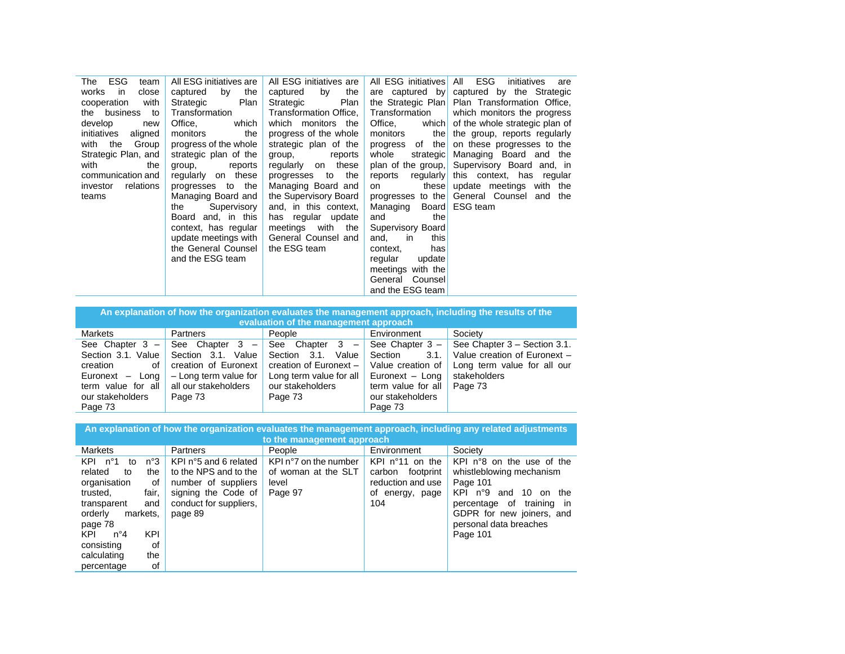| ESG<br>The<br>team     | All ESG initiatives are | All ESG initiatives are | All ESG initiatives All ESG | initiatives<br>are                             |
|------------------------|-------------------------|-------------------------|-----------------------------|------------------------------------------------|
| works in<br>close      | by<br>the<br>captured   | captured<br>by the      |                             | are captured by captured by the Strategic      |
| cooperation<br>with    | Plan<br>Strategic       | Plan<br>Strategic       |                             | the Strategic Plan Plan Transformation Office, |
| the business to        | Transformation          | Transformation Office,  | Transformation              | which monitors the progress                    |
| develop<br>new         | Office,<br>which        | which monitors the      | Office,                     | which of the whole strategic plan of           |
| initiatives<br>aligned | monitors<br>the         | progress of the whole   | monitors                    | the the group, reports regularly               |
| with the Group         | progress of the whole   | strategic plan of the   |                             | progress of the on these progresses to the     |
| Strategic Plan, and    | strategic plan of the   | reports<br>group,       | whole                       | strategic Managing Board and the               |
| with<br>the            | group, reports          | regularly on these      |                             | plan of the group, Supervisory Board and, in   |
| communication and      | regularly on these      | progresses to the       | reports                     | regularly this context, has regular            |
| relations<br>investor  | progresses to the       | Managing Board and      | on                          | these update meetings with the                 |
| teams                  | Managing Board and      | the Supervisory Board   |                             | progresses to the General Counsel and the      |
|                        | Supervisory<br>the      | and, in this context,   | Managing Board ESG team     |                                                |
|                        | Board and, in this      | has regular update      | and<br>the                  |                                                |
|                        | context, has regular    | meetings with the       | Supervisory Board           |                                                |
|                        | update meetings with    | General Counsel and     | this<br>and,<br>in          |                                                |
|                        | the General Counsel     | the ESG team            | hasl<br>context,            |                                                |
|                        | and the ESG team        |                         | update<br>regular           |                                                |
|                        |                         |                         | meetings with the           |                                                |
|                        |                         |                         | General Counsell            |                                                |
|                        |                         |                         | and the ESG team            |                                                |

| An explanation of how the organization evaluates the management approach, including the results of the<br>evaluation of the management approach |                                                                                                                                |                                                                                                                                             |                                                                                                                                   |                                                                                                                        |  |
|-------------------------------------------------------------------------------------------------------------------------------------------------|--------------------------------------------------------------------------------------------------------------------------------|---------------------------------------------------------------------------------------------------------------------------------------------|-----------------------------------------------------------------------------------------------------------------------------------|------------------------------------------------------------------------------------------------------------------------|--|
| <b>Markets</b>                                                                                                                                  | <b>Partners</b>                                                                                                                | People                                                                                                                                      | Environment                                                                                                                       | Society                                                                                                                |  |
| See Chapter $3 -$<br>Section 3.1. Value<br>creation<br>οf<br>Euronext<br>– Lona<br>term value for all<br>our stakeholders<br>Page 73            | See Chapter $3 -$<br>Section 3.1.<br>Value<br>creation of Euronext<br>- Long term value for<br>all our stakeholders<br>Page 73 | Chapter<br>See<br>$-$<br>- 3<br>Value<br>Section 3.1.<br>creation of Euronext $-$<br>Long term value for all<br>our stakeholders<br>Page 73 | See Chapter $3 -$<br>Section<br>3.1.<br>Value creation of<br>Euronext - Long<br>term value for all<br>our stakeholders<br>Page 73 | See Chapter 3 - Section 3.1.<br>Value creation of Euronext -<br>Long term value for all our<br>stakeholders<br>Page 73 |  |

**An explanation of how the organization evaluates the management approach, including any related adjustments** 

| to the management approach                                                                                                                                                                                                                     |                                                                                                                                   |                                                                  |                                                                                               |                                                                                                                                                                                                                   |  |
|------------------------------------------------------------------------------------------------------------------------------------------------------------------------------------------------------------------------------------------------|-----------------------------------------------------------------------------------------------------------------------------------|------------------------------------------------------------------|-----------------------------------------------------------------------------------------------|-------------------------------------------------------------------------------------------------------------------------------------------------------------------------------------------------------------------|--|
| <b>Markets</b>                                                                                                                                                                                                                                 | <b>Partners</b>                                                                                                                   | People                                                           | Environment                                                                                   | Society                                                                                                                                                                                                           |  |
| n°3<br>KPI<br>n°1<br>to<br>related<br>the<br>to<br>organisation<br>of<br>fair.<br>trusted,<br>transparent<br>and<br>orderly<br>markets.<br>page 78<br>KPI<br>KPI<br>$n^{\circ}4$<br>consisting<br>οf<br>the<br>calculating<br>0f<br>percentage | KPI n°5 and 6 related<br>to the NPS and to the<br>number of suppliers<br>signing the Code of<br>conduct for suppliers.<br>page 89 | KPI n°7 on the number<br>of woman at the SLT<br>level<br>Page 97 | $KPI$ n°11<br>on the<br>carbon<br>footprint<br>reduction and use<br>of<br>energy, page<br>104 | KPI n°8 on the use of the<br>whistleblowing mechanism<br>Page 101<br>$KPI$ n <sup>o</sup> 9 and<br>- 10<br>on the<br>percentage of training in<br>GDPR for new joiners, and<br>personal data breaches<br>Page 101 |  |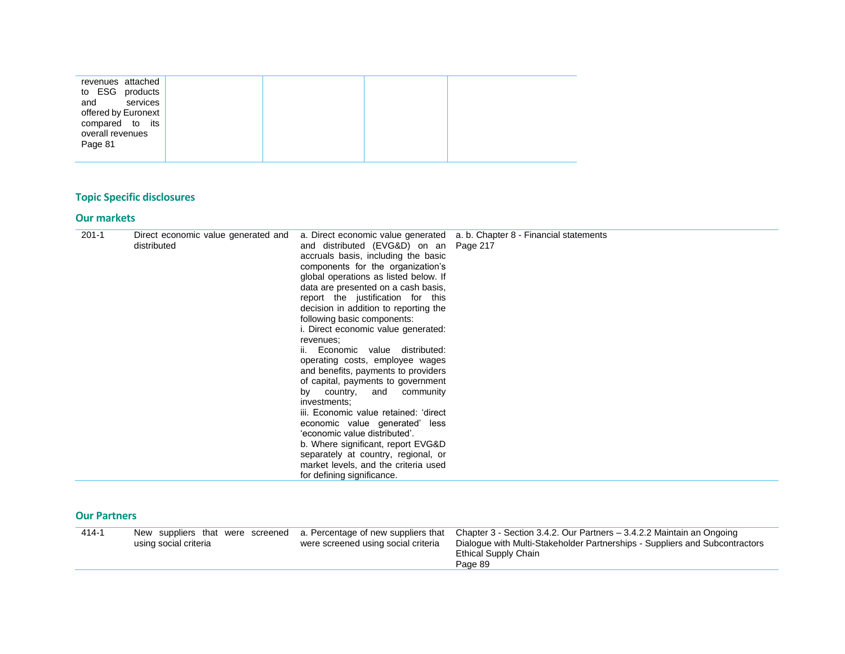| revenues attached<br>to ESG products<br>and<br>services<br>offered by Euronext<br>compared to its<br>overall revenues<br>Page 81 |  |  |
|----------------------------------------------------------------------------------------------------------------------------------|--|--|
|----------------------------------------------------------------------------------------------------------------------------------|--|--|

# **Topic Specific disclosures**

#### **Our markets**

| $201 - 1$ | Direct economic value generated and |                                        | a. Direct economic value generated a. b. Chapter 8 - Financial statements |
|-----------|-------------------------------------|----------------------------------------|---------------------------------------------------------------------------|
|           | distributed                         | and distributed (EVG&D) on an Page 217 |                                                                           |
|           |                                     | accruals basis, including the basic    |                                                                           |
|           |                                     | components for the organization's      |                                                                           |
|           |                                     | global operations as listed below. If  |                                                                           |
|           |                                     | data are presented on a cash basis,    |                                                                           |
|           |                                     | report the justification for this      |                                                                           |
|           |                                     | decision in addition to reporting the  |                                                                           |
|           |                                     | following basic components:            |                                                                           |
|           |                                     | i. Direct economic value generated:    |                                                                           |
|           |                                     | revenues:                              |                                                                           |
|           |                                     | ii. Economic value distributed:        |                                                                           |
|           |                                     | operating costs, employee wages        |                                                                           |
|           |                                     | and benefits, payments to providers    |                                                                           |
|           |                                     | of capital, payments to government     |                                                                           |
|           |                                     | by country, and community              |                                                                           |
|           |                                     | investments;                           |                                                                           |
|           |                                     | iii. Economic value retained: 'direct  |                                                                           |
|           |                                     | economic value generated' less         |                                                                           |
|           |                                     | 'economic value distributed'.          |                                                                           |
|           |                                     | b. Where significant, report EVG&D     |                                                                           |
|           |                                     | separately at country, regional, or    |                                                                           |
|           |                                     | market levels, and the criteria used   |                                                                           |
|           |                                     | for defining significance.             |                                                                           |

#### **Our Partners**

| Chapter 3 - Section 3.4.2. Our Partners – 3.4.2.2 Maintain an Ongoing<br>$414 - 1$<br>New suppliers that were screened a. Percentage of new suppliers that<br>Dialogue with Multi-Stakeholder Partnerships - Suppliers and Subcontractors<br>were screened using social criteria<br>using social criteria<br>Ethical Supply Chain<br>Page 89 |  |
|----------------------------------------------------------------------------------------------------------------------------------------------------------------------------------------------------------------------------------------------------------------------------------------------------------------------------------------------|--|
|----------------------------------------------------------------------------------------------------------------------------------------------------------------------------------------------------------------------------------------------------------------------------------------------------------------------------------------------|--|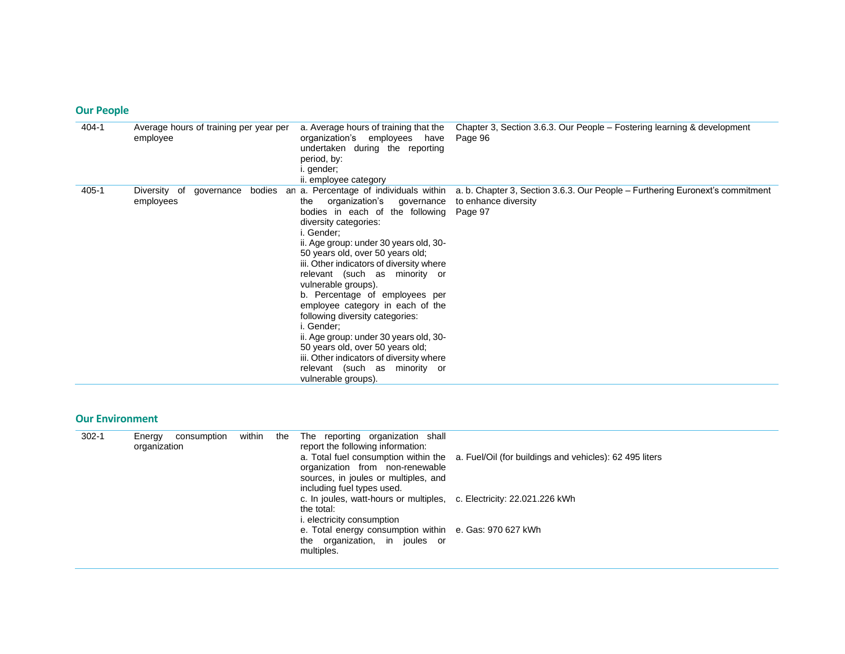## **Our People**

| 404-1 | Average hours of training per year per<br>employee | a. Average hours of training that the<br>organization's employees have<br>undertaken during the reporting<br>period, by:<br>i. gender;<br>ii. employee category                                                                                                                                                                                                                                                                                                                                                                                                                                                                                        | Chapter 3, Section 3.6.3. Our People – Fostering learning & development<br>Page 96                               |
|-------|----------------------------------------------------|--------------------------------------------------------------------------------------------------------------------------------------------------------------------------------------------------------------------------------------------------------------------------------------------------------------------------------------------------------------------------------------------------------------------------------------------------------------------------------------------------------------------------------------------------------------------------------------------------------------------------------------------------------|------------------------------------------------------------------------------------------------------------------|
| 405-1 | Diversity of<br>governance<br>employees            | bodies an a. Percentage of individuals within<br>organization's governance<br>the<br>bodies in each of the following<br>diversity categories:<br>i. Gender:<br>ii. Age group: under 30 years old, 30-<br>50 years old, over 50 years old;<br>iii. Other indicators of diversity where<br>relevant (such as minority or<br>vulnerable groups).<br>b. Percentage of employees per<br>employee category in each of the<br>following diversity categories:<br>i. Gender:<br>ii. Age group: under 30 years old, 30-<br>50 years old, over 50 years old;<br>iii. Other indicators of diversity where<br>relevant (such as minority or<br>vulnerable groups). | a. b. Chapter 3, Section 3.6.3. Our People – Furthering Euronext's commitment<br>to enhance diversity<br>Page 97 |

#### **Our Environment**

| $302 - 1$ | consumption<br>Energy | within<br>the | The reporting organization shall                                      |                                                                                              |
|-----------|-----------------------|---------------|-----------------------------------------------------------------------|----------------------------------------------------------------------------------------------|
|           | organization          |               | report the following information:                                     |                                                                                              |
|           |                       |               |                                                                       | a. Total fuel consumption within the a. Fuel/Oil (for buildings and vehicles): 62 495 liters |
|           |                       |               | organization from non-renewable                                       |                                                                                              |
|           |                       |               | sources, in joules or multiples, and                                  |                                                                                              |
|           |                       |               | including fuel types used.                                            |                                                                                              |
|           |                       |               | c. In joules, watt-hours or multiples, c. Electricity: 22.021.226 kWh |                                                                                              |
|           |                       |               | the total:                                                            |                                                                                              |
|           |                       |               | <i>i.</i> electricity consumption                                     |                                                                                              |
|           |                       |               | e. Total energy consumption within e. Gas: 970 627 kWh                |                                                                                              |
|           |                       |               |                                                                       |                                                                                              |
|           |                       |               | the organization, in joules or                                        |                                                                                              |
|           |                       |               | multiples.                                                            |                                                                                              |
|           |                       |               |                                                                       |                                                                                              |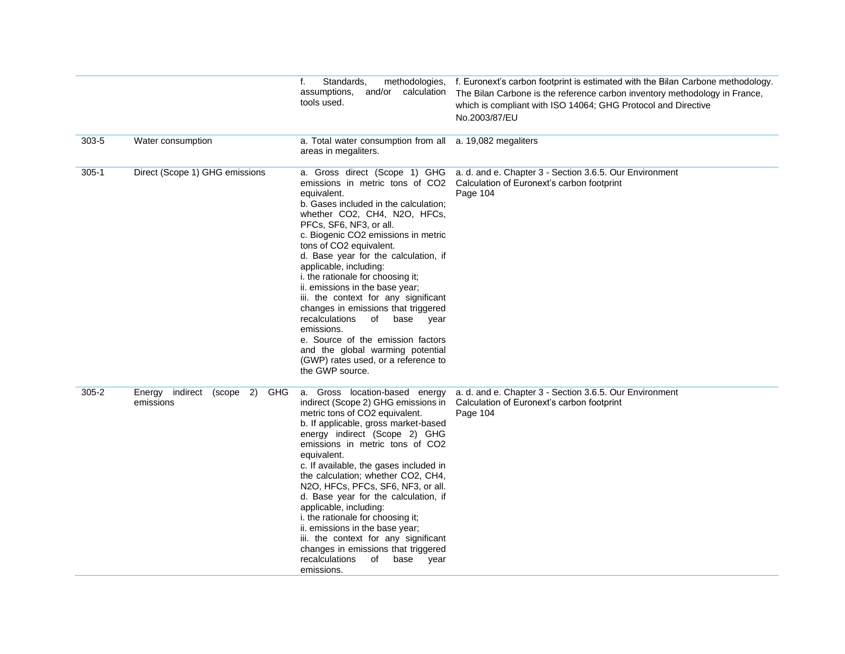|           |                                                      | Standards,<br>f.<br>assumptions, and/or calculation<br>tools used.                                                                                                                                                                                                                                                                                                                                                                                                                                                                                                                                                                      | methodologies, f. Euronext's carbon footprint is estimated with the Bilan Carbone methodology.<br>The Bilan Carbone is the reference carbon inventory methodology in France,<br>which is compliant with ISO 14064; GHG Protocol and Directive<br>No.2003/87/EU |
|-----------|------------------------------------------------------|-----------------------------------------------------------------------------------------------------------------------------------------------------------------------------------------------------------------------------------------------------------------------------------------------------------------------------------------------------------------------------------------------------------------------------------------------------------------------------------------------------------------------------------------------------------------------------------------------------------------------------------------|----------------------------------------------------------------------------------------------------------------------------------------------------------------------------------------------------------------------------------------------------------------|
| $303 - 5$ | Water consumption                                    | a. Total water consumption from all a. 19,082 megaliters<br>areas in megaliters.                                                                                                                                                                                                                                                                                                                                                                                                                                                                                                                                                        |                                                                                                                                                                                                                                                                |
| $305-1$   | Direct (Scope 1) GHG emissions                       | equivalent.<br>b. Gases included in the calculation:<br>whether CO2, CH4, N2O, HFCs,<br>PFCs, SF6, NF3, or all.<br>c. Biogenic CO2 emissions in metric<br>tons of CO2 equivalent.<br>d. Base year for the calculation, if<br>applicable, including:<br>i. the rationale for choosing it;<br>ii. emissions in the base year;<br>iii. the context for any significant<br>changes in emissions that triggered<br>recalculations<br>of base<br>year<br>emissions.<br>e. Source of the emission factors<br>and the global warming potential<br>(GWP) rates used, or a reference to<br>the GWP source.                                        | a. Gross direct (Scope 1) GHG a. d. and e. Chapter 3 - Section 3.6.5. Our Environment<br>emissions in metric tons of CO2 Calculation of Euronext's carbon footprint<br>Page 104                                                                                |
| $305 - 2$ | Energy indirect (scope 2)<br><b>GHG</b><br>emissions | a. Gross location-based energy<br>indirect (Scope 2) GHG emissions in<br>metric tons of CO2 equivalent.<br>b. If applicable, gross market-based<br>energy indirect (Scope 2) GHG<br>emissions in metric tons of CO2<br>equivalent.<br>c. If available, the gases included in<br>the calculation; whether CO2, CH4,<br>N2O, HFCs, PFCs, SF6, NF3, or all.<br>d. Base year for the calculation, if<br>applicable, including:<br>i. the rationale for choosing it;<br>ii. emissions in the base year;<br>iii. the context for any significant<br>changes in emissions that triggered<br>recalculations<br>of<br>base<br>year<br>emissions. | a. d. and e. Chapter 3 - Section 3.6.5. Our Environment<br>Calculation of Euronext's carbon footprint<br>Page 104                                                                                                                                              |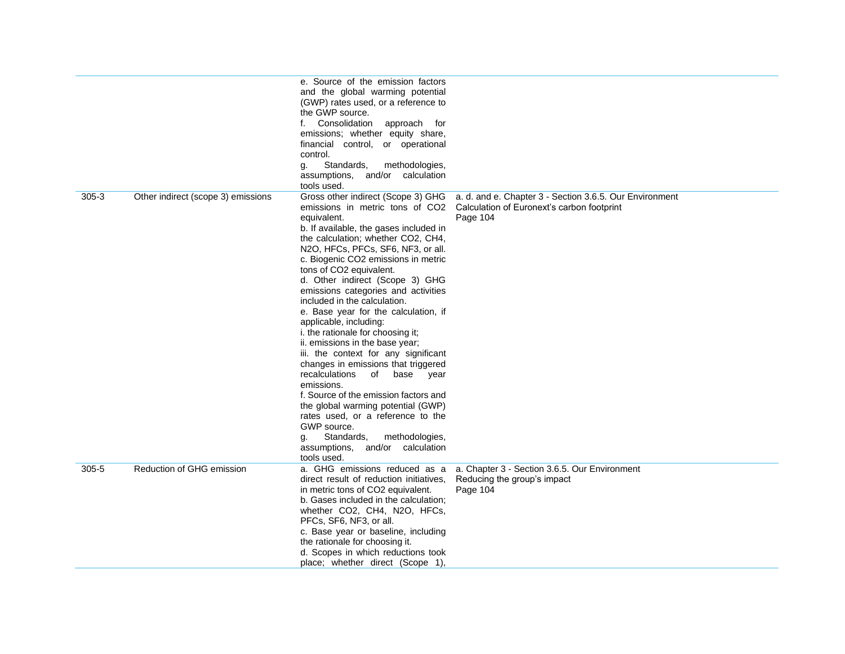|           |                                    | e. Source of the emission factors<br>and the global warming potential<br>(GWP) rates used, or a reference to<br>the GWP source.<br>f. Consolidation approach for<br>emissions; whether equity share,<br>financial control, or operational<br>control.<br>Standards,<br>methodologies,<br>g.<br>assumptions, and/or calculation<br>tools used.                                                                                                                                                                                                                                                                                                                                                                                                                                                                                                                                              |                                                                                                                   |
|-----------|------------------------------------|--------------------------------------------------------------------------------------------------------------------------------------------------------------------------------------------------------------------------------------------------------------------------------------------------------------------------------------------------------------------------------------------------------------------------------------------------------------------------------------------------------------------------------------------------------------------------------------------------------------------------------------------------------------------------------------------------------------------------------------------------------------------------------------------------------------------------------------------------------------------------------------------|-------------------------------------------------------------------------------------------------------------------|
| $305 - 3$ | Other indirect (scope 3) emissions | Gross other indirect (Scope 3) GHG<br>emissions in metric tons of CO2<br>equivalent.<br>b. If available, the gases included in<br>the calculation; whether CO2, CH4,<br>N2O, HFCs, PFCs, SF6, NF3, or all.<br>c. Biogenic CO2 emissions in metric<br>tons of CO2 equivalent.<br>d. Other indirect (Scope 3) GHG<br>emissions categories and activities<br>included in the calculation.<br>e. Base year for the calculation, if<br>applicable, including:<br>i. the rationale for choosing it;<br>ii. emissions in the base year;<br>iii. the context for any significant<br>changes in emissions that triggered<br>recalculations of<br>base year<br>emissions.<br>f. Source of the emission factors and<br>the global warming potential (GWP)<br>rates used, or a reference to the<br>GWP source.<br>Standards,<br>methodologies,<br>g.<br>assumptions, and/or calculation<br>tools used. | a. d. and e. Chapter 3 - Section 3.6.5. Our Environment<br>Calculation of Euronext's carbon footprint<br>Page 104 |
| $305 - 5$ | Reduction of GHG emission          | a. GHG emissions reduced as a<br>direct result of reduction initiatives,<br>in metric tons of CO2 equivalent.<br>b. Gases included in the calculation;<br>whether CO2, CH4, N2O, HFCs,<br>PFCs, SF6, NF3, or all.<br>c. Base year or baseline, including<br>the rationale for choosing it.<br>d. Scopes in which reductions took<br>place; whether direct (Scope 1),                                                                                                                                                                                                                                                                                                                                                                                                                                                                                                                       | a. Chapter 3 - Section 3.6.5. Our Environment<br>Reducing the group's impact<br>Page 104                          |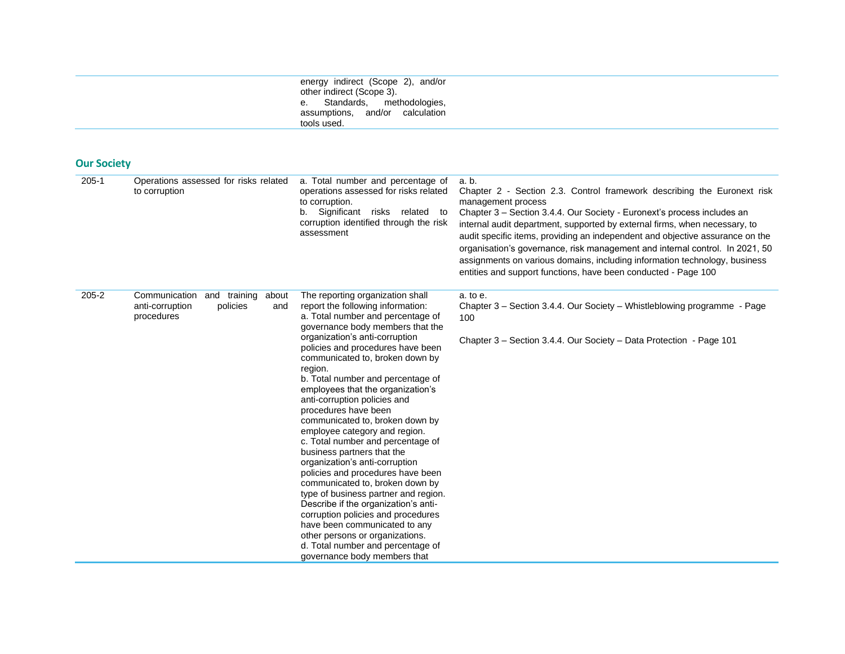|             |                           | energy indirect (Scope 2), and/or |  |
|-------------|---------------------------|-----------------------------------|--|
|             | other indirect (Scope 3). |                                   |  |
|             |                           | e. Standards, methodologies,      |  |
|             |                           | assumptions, and/or calculation   |  |
| tools used. |                           |                                   |  |

| <b>Our Society</b> |
|--------------------|
|--------------------|

| $205 - 1$ | Operations assessed for risks related<br>to corruption                                  | a. Total number and percentage of<br>operations assessed for risks related<br>to corruption.<br>b. Significant risks related to<br>corruption identified through the risk<br>assessment                                                                                                                                                                                                                                                                                                                                                                                                                                                                                                                                                                                                                                                                                                                               | a. b.<br>Chapter 2 - Section 2.3. Control framework describing the Euronext risk<br>management process<br>Chapter 3 – Section 3.4.4. Our Society - Euronext's process includes an<br>internal audit department, supported by external firms, when necessary, to<br>audit specific items, providing an independent and objective assurance on the<br>organisation's governance, risk management and internal control. In 2021, 50<br>assignments on various domains, including information technology, business<br>entities and support functions, have been conducted - Page 100 |
|-----------|-----------------------------------------------------------------------------------------|-----------------------------------------------------------------------------------------------------------------------------------------------------------------------------------------------------------------------------------------------------------------------------------------------------------------------------------------------------------------------------------------------------------------------------------------------------------------------------------------------------------------------------------------------------------------------------------------------------------------------------------------------------------------------------------------------------------------------------------------------------------------------------------------------------------------------------------------------------------------------------------------------------------------------|----------------------------------------------------------------------------------------------------------------------------------------------------------------------------------------------------------------------------------------------------------------------------------------------------------------------------------------------------------------------------------------------------------------------------------------------------------------------------------------------------------------------------------------------------------------------------------|
| $205 - 2$ | Communication<br>and training about<br>anti-corruption<br>policies<br>and<br>procedures | The reporting organization shall<br>report the following information:<br>a. Total number and percentage of<br>governance body members that the<br>organization's anti-corruption<br>policies and procedures have been<br>communicated to, broken down by<br>region.<br>b. Total number and percentage of<br>employees that the organization's<br>anti-corruption policies and<br>procedures have been<br>communicated to, broken down by<br>employee category and region.<br>c. Total number and percentage of<br>business partners that the<br>organization's anti-corruption<br>policies and procedures have been<br>communicated to, broken down by<br>type of business partner and region.<br>Describe if the organization's anti-<br>corruption policies and procedures<br>have been communicated to any<br>other persons or organizations.<br>d. Total number and percentage of<br>governance body members that | a. to e.<br>Chapter 3 - Section 3.4.4. Our Society - Whistleblowing programme - Page<br>100<br>Chapter 3 - Section 3.4.4. Our Society - Data Protection - Page 101                                                                                                                                                                                                                                                                                                                                                                                                               |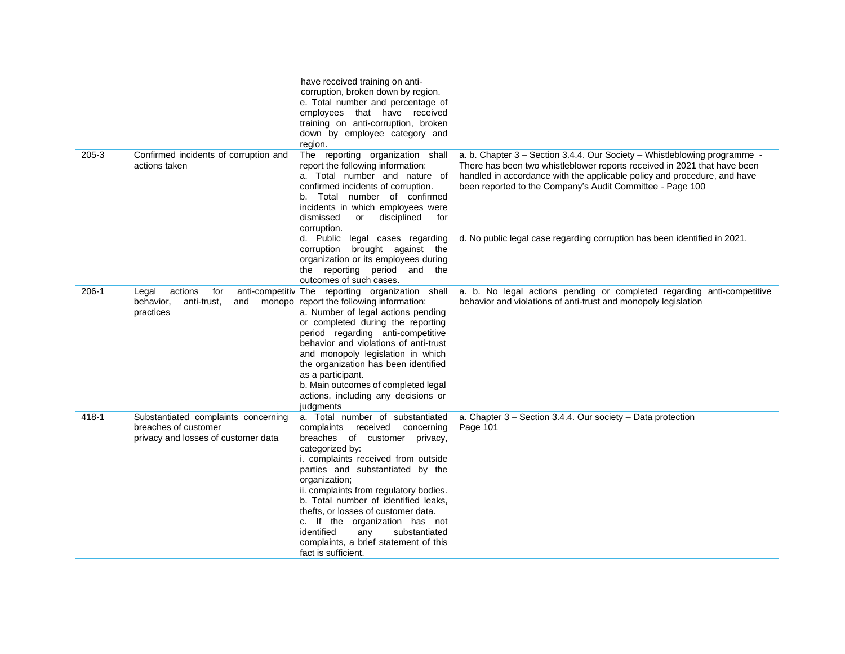|         |                                                                                                    | have received training on anti-<br>corruption, broken down by region.<br>e. Total number and percentage of<br>employees that have received<br>training on anti-corruption, broken<br>down by employee category and<br>region.                                                                                                                                                                                                                                                       |                                                                                                                                                                                                                                                                                                |
|---------|----------------------------------------------------------------------------------------------------|-------------------------------------------------------------------------------------------------------------------------------------------------------------------------------------------------------------------------------------------------------------------------------------------------------------------------------------------------------------------------------------------------------------------------------------------------------------------------------------|------------------------------------------------------------------------------------------------------------------------------------------------------------------------------------------------------------------------------------------------------------------------------------------------|
| $205-3$ | Confirmed incidents of corruption and<br>actions taken                                             | The reporting organization shall<br>report the following information:<br>a. Total number and nature of<br>confirmed incidents of corruption.<br>b. Total number of confirmed<br>incidents in which employees were<br>disciplined<br>dismissed<br>or<br>for<br>corruption.                                                                                                                                                                                                           | a. b. Chapter 3 - Section 3.4.4. Our Society - Whistleblowing programme -<br>There has been two whistleblower reports received in 2021 that have been<br>handled in accordance with the applicable policy and procedure, and have<br>been reported to the Company's Audit Committee - Page 100 |
|         |                                                                                                    | d. Public legal cases regarding<br>corruption brought against the<br>organization or its employees during<br>the reporting period and the<br>outcomes of such cases.                                                                                                                                                                                                                                                                                                                | d. No public legal case regarding corruption has been identified in 2021.                                                                                                                                                                                                                      |
| $206-1$ | actions<br>for<br>Legal<br>behavior,<br>anti-trust,<br>and<br>practices                            | anti-competitiv The reporting organization shall<br>monopo report the following information:<br>a. Number of legal actions pending<br>or completed during the reporting<br>period regarding anti-competitive<br>behavior and violations of anti-trust<br>and monopoly legislation in which<br>the organization has been identified<br>as a participant.<br>b. Main outcomes of completed legal<br>actions, including any decisions or<br>judgments                                  | a. b. No legal actions pending or completed regarding anti-competitive<br>behavior and violations of anti-trust and monopoly legislation                                                                                                                                                       |
| 418-1   | Substantiated complaints concerning<br>breaches of customer<br>privacy and losses of customer data | a. Total number of substantiated<br>complaints received concerning<br>breaches of customer privacy,<br>categorized by:<br>i. complaints received from outside<br>parties and substantiated by the<br>organization;<br>ii. complaints from regulatory bodies.<br>b. Total number of identified leaks.<br>thefts, or losses of customer data.<br>c. If the organization has not<br>identified<br>substantiated<br>any<br>complaints, a brief statement of this<br>fact is sufficient. | a. Chapter 3 - Section 3.4.4. Our society - Data protection<br>Page 101                                                                                                                                                                                                                        |